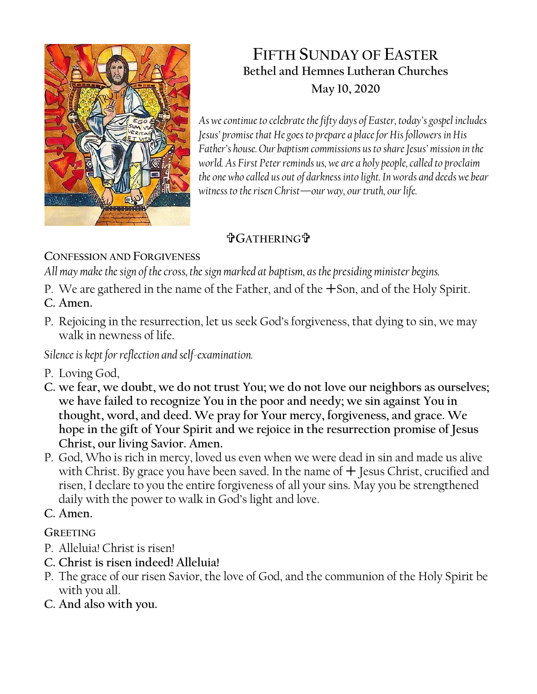

# **FIFTH SUNDAY OF EASTER Bethel and Hemnes Lutheran Churches May 10, 2020**

*As we continue to celebrate the fifty days of Easter, today's gospel includes Jesus' promise that He goes to prepare a place for His followers in His Father's house. Our baptism commissions us to share Jesus' mission in the world. As First Peter reminds us, we are a holy people, called to proclaim the one who called us out of darkness into light. In words and deeds we bear witness to the risen Christ—our way, our truth, our life.*

# **GATHERING**

**CONFESSION AND FORGIVENESS**

*All may make the sign of the cross, the sign marked at baptism, as the presiding minister begins.*

- P. We are gathered in the name of the Father, and of the Son, and of the Holy Spirit.
- **C. Amen.**
- P. Rejoicing in the resurrection, let us seek God's forgiveness, that dying to sin, we may walk in newness of life.

*Silence is kept for reflection and self-examination.*

- P. Loving God,
- **C. we fear, we doubt, we do not trust You; we do not love our neighbors as ourselves; we have failed to recognize You in the poor and needy; we sin against You in thought, word, and deed. We pray for Your mercy, forgiveness, and grace. We hope in the gift of Your Spirit and we rejoice in the resurrection promise of Jesus Christ, our living Savior. Amen.**
- P. God, Who is rich in mercy, loved us even when we were dead in sin and made us alive with Christ. By grace you have been saved. In the name of  $+$  Jesus Christ, crucified and risen, I declare to you the entire forgiveness of all your sins. May you be strengthened daily with the power to walk in God's light and love.
- **C. Amen.**

# **GREETING**

- P. Alleluia! Christ is risen!
- **C. Christ is risen indeed! Alleluia!**
- P. The grace of our risen Savior, the love of God, and the communion of the Holy Spirit be with you all.
- **C. And also with you.**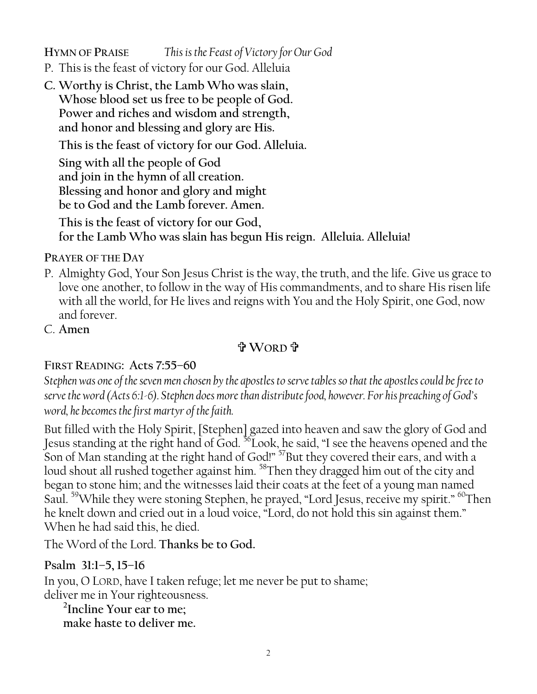**HYMN OF PRAISE** *This is the Feast of Victory for Our God*

- P. This is the feast of victory for our God. Alleluia
- **C. Worthy is Christ, the Lamb Who was slain, Whose blood set us free to be people of God. Power and riches and wisdom and strength, and honor and blessing and glory are His.**

**This is the feast of victory for our God. Alleluia.**

**Sing with all the people of God and join in the hymn of all creation. Blessing and honor and glory and might be to God and the Lamb forever. Amen.** 

**This is the feast of victory for our God, for the Lamb Who was slain has begun His reign. Alleluia. Alleluia!**

**PRAYER OF THE DAY**

- P. Almighty God, Your Son Jesus Christ is the way, the truth, and the life. Give us grace to love one another, to follow in the way of His commandments, and to share His risen life with all the world, for He lives and reigns with You and the Holy Spirit, one God, now and forever.
- C. **Amen**

## **WORD**

## **FIRST READING: Acts 7:55–60**

*Stephen was one of the seven men chosen by the apostles to serve tables so that the apostles could be free to serve the word (Acts 6:1-6). Stephen does more than distribute food, however. For his preaching of God's word, he becomes the first martyr of the faith.*

But filled with the Holy Spirit, [Stephen] gazed into heaven and saw the glory of God and Jesus standing at the right hand of God. <sup>56</sup>Look, he said, "I see the heavens opened and the Son of Man standing at the right hand of God!" <sup>57</sup>But they covered their ears, and with a loud shout all rushed together against him. <sup>58</sup>Then they dragged him out of the city and began to stone him; and the witnesses laid their coats at the feet of a young man named Saul. <sup>59</sup>While they were stoning Stephen, he prayed, "Lord Jesus, receive my spirit." <sup>60</sup>Then he knelt down and cried out in a loud voice, "Lord, do not hold this sin against them." When he had said this, he died.

The Word of the Lord. **Thanks be to God.**

## **Psalm 31:1–5, 15–16**

In you, O LORD, have I taken refuge; let me never be put to shame; deliver me in Your righteousness.

**2 Incline Your ear to me; make haste to deliver me.**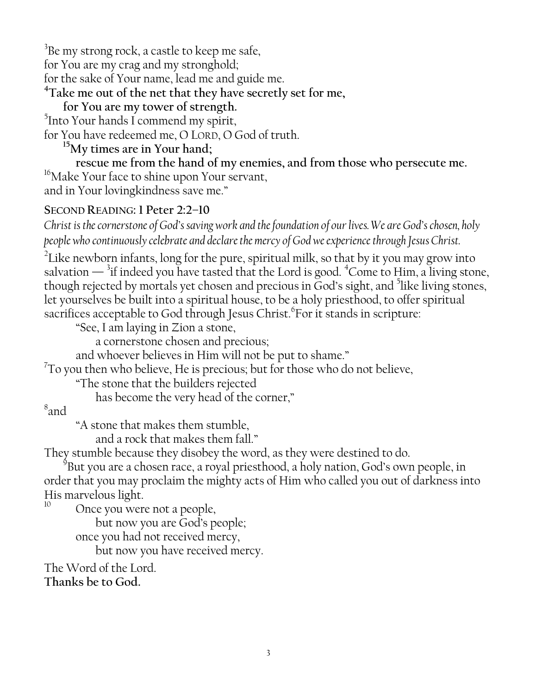$^3$ Be my strong rock, a castle to keep me safe, for You are my crag and my stronghold; for the sake of Your name, lead me and guide me. **<sup>4</sup>Take me out of the net that they have secretly set for me,**

## **for You are my tower of strength.**

<sup>5</sup>Into Your hands I commend my spirit,

for You have redeemed me, O LORD, O God of truth.

## **<sup>15</sup>My times are in Your hand;**

**rescue me from the hand of my enemies, and from those who persecute me.** <sup>16</sup>Make Your face to shine upon Your servant, and in Your lovingkindness save me."

### **SECOND READING: 1 Peter 2:2–10**

*Christ is the cornerstone of God's saving work and the foundation of our lives. We are God's chosen, holy people who continuously celebrate and declare the mercy of God we experience through Jesus Christ.*

 $2$ Like newborn infants, long for the pure, spiritual milk, so that by it you may grow into salvation  $-$  <sup>3</sup>if indeed you have tasted that the Lord is good. <sup>4</sup>Come to Him, a living stone, though rejected by mortals yet chosen and precious in God's sight, and  $5$ like living stones, let yourselves be built into a spiritual house, to be a holy priesthood, to offer spiritual sacrifices acceptable to God through Jesus Christ. For it stands in scripture:

"See, I am laying in Zion a stone,

a cornerstone chosen and precious;

and whoever believes in Him will not be put to shame."

 $7$ To you then who believe, He is precious; but for those who do not believe,

"The stone that the builders rejected

has become the very head of the corner,"

## 8 and

"A stone that makes them stumble,

and a rock that makes them fall."

They stumble because they disobey the word, as they were destined to do.

 $^9$ But you are a chosen race, a royal priesthood, a holy nation, God's own people, in order that you may proclaim the mighty acts of Him who called you out of darkness into His marvelous light.

Once you were not a people,

but now you are God's people;

once you had not received mercy,

but now you have received mercy.

The Word of the Lord.

**Thanks be to God.**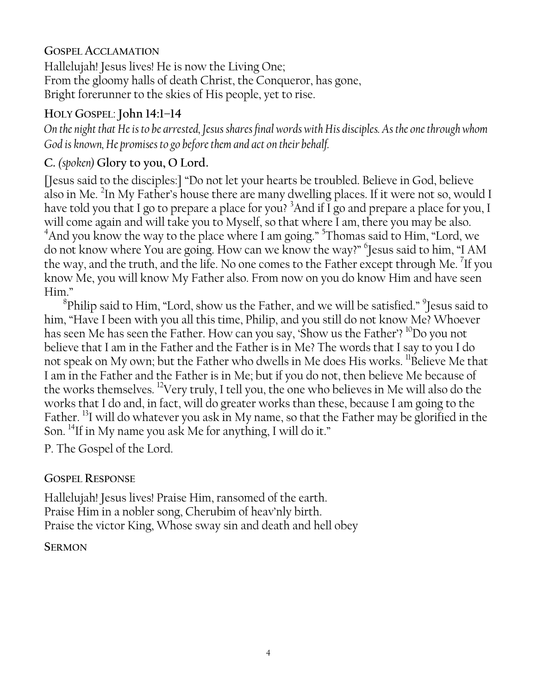#### **GOSPEL ACCLAMATION**

Hallelujah! Jesus lives! He is now the Living One; From the gloomy halls of death Christ, the Conqueror, has gone, Bright forerunner to the skies of His people, yet to rise.

### **HOLY GOSPEL**: **John 14:1–14**

*On the night that He is to be arrested, Jesus shares final words with His disciples. As the one through whom God is known, He promises to go before them and act on their behalf.*

## **C.** *(spoken)* **Glory to you, O Lord.**

[Jesus said to the disciples:] "Do not let your hearts be troubled. Believe in God, believe also in Me.  $^{2}$ In My Father's house there are many dwelling places. If it were not so, would I have told you that I go to prepare a place for you? <sup>3</sup>And if I go and prepare a place for you, I will come again and will take you to Myself, so that where I am, there you may be also. <sup>4</sup>And you know the way to the place where I am going." <sup>5</sup>Thomas said to Him, "Lord, we do not know where You are going. How can we know the way?" 6 Jesus said to him, "I AM the way, and the truth, and the life. No one comes to the Father except through Me.  $^7$ If you know Me, you will know My Father also. From now on you do know Him and have seen Him."

 $^8$ Philip said to Him, "Lord, show us the Father, and we will be satisfied."  $^9$ Jesus said to him, "Have I been with you all this time, Philip, and you still do not know Me? Whoever has seen Me has seen the Father. How can you say, 'Show us the Father'? <sup>10</sup>Do you not believe that I am in the Father and the Father is in Me? The words that I say to you I do not speak on My own; but the Father who dwells in Me does His works. <sup>11</sup>Believe Me that I am in the Father and the Father is in Me; but if you do not, then believe Me because of the works themselves. <sup>12</sup>Very truly, I tell you, the one who believes in Me will also do the works that I do and, in fact, will do greater works than these, because I am going to the Father. <sup>13</sup>I will do whatever you ask in My name, so that the Father may be glorified in the Son. <sup>14</sup>If in My name you ask Me for anything, I will do it."

P. The Gospel of the Lord.

#### **GOSPEL RESPONSE**

Hallelujah! Jesus lives! Praise Him, ransomed of the earth. Praise Him in a nobler song, Cherubim of heav'nly birth. Praise the victor King, Whose sway sin and death and hell obey

**SERMON**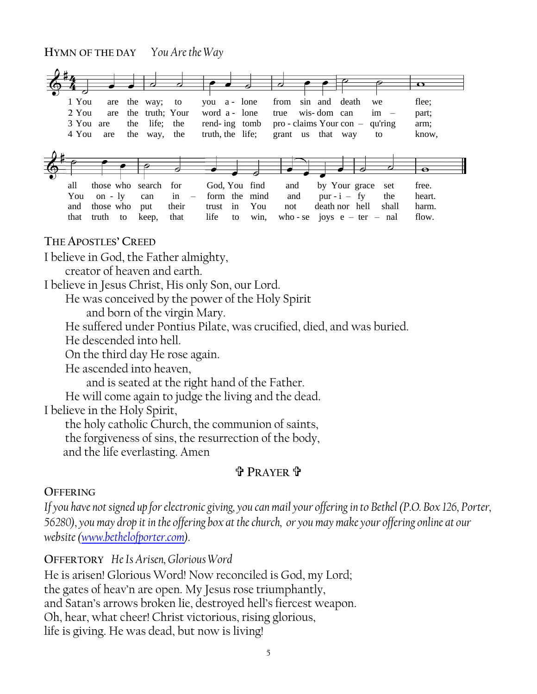# **HYMN OF THE DAY** *You Are the Way* .



#### **THE APOSTLES' CREED**

I believe in God, the Father almighty,

creator of heaven and earth.

I believe in Jesus Christ, His only Son, our Lord.

He was conceived by the power of the Holy Spirit

and born of the virgin Mary.

He suffered under Pontius Pilate, was crucified, died, and was buried.

He descended into hell.

On the third day He rose again.

He ascended into heaven,

and is seated at the right hand of the Father.

He will come again to judge the living and the dead.

I believe in the Holy Spirit,

the holy catholic Church, the communion of saints,

the forgiveness of sins, the resurrection of the body,

and the life everlasting. Amen

#### **PRAYER**

#### **OFFERING**

*If you have not signed up for electronic giving, you can mail your offering in to Bethel (P.O. Box 126, Porter, 56280), you may drop it in the offering box at the church, or you may make your offering online at our website [\(www.bethelofporter.com\)](http://www.bethelofporter.com/).* 

**OFFERTORY** *He Is Arisen, Glorious Word*

He is arisen! Glorious Word! Now reconciled is God, my Lord; the gates of heav'n are open. My Jesus rose triumphantly, and Satan's arrows broken lie, destroyed hell's fiercest weapon. Oh, hear, what cheer! Christ victorious, rising glorious, life is giving. He was dead, but now is living!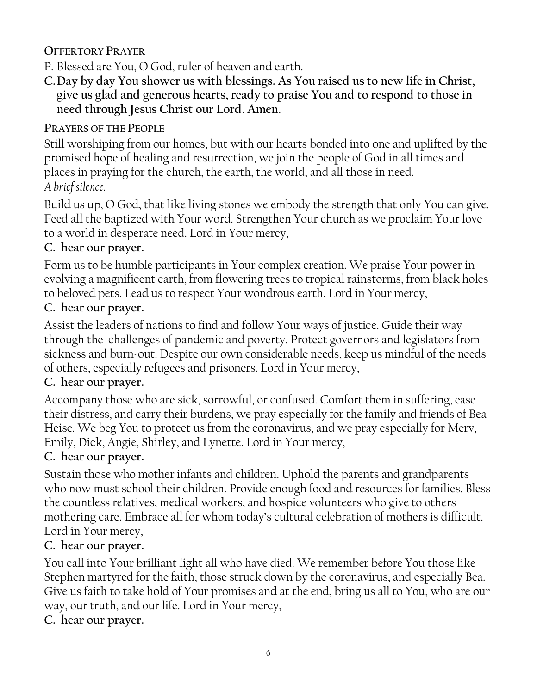## **OFFERTORY PRAYER**

- P. Blessed are You, O God, ruler of heaven and earth.
- **C.Day by day You shower us with blessings. As You raised us to new life in Christ, give us glad and generous hearts, ready to praise You and to respond to those in need through Jesus Christ our Lord. Amen.**

## **PRAYERS OF THE PEOPLE**

Still worshiping from our homes, but with our hearts bonded into one and uplifted by the promised hope of healing and resurrection, we join the people of God in all times and places in praying for the church, the earth, the world, and all those in need. *A brief silence.*

Build us up, O God, that like living stones we embody the strength that only You can give. Feed all the baptized with Your word. Strengthen Your church as we proclaim Your love to a world in desperate need. Lord in Your mercy,

### **C. hear our prayer.**

Form us to be humble participants in Your complex creation. We praise Your power in evolving a magnificent earth, from flowering trees to tropical rainstorms, from black holes to beloved pets. Lead us to respect Your wondrous earth. Lord in Your mercy,

#### **C. hear our prayer.**

Assist the leaders of nations to find and follow Your ways of justice. Guide their way through the challenges of pandemic and poverty. Protect governors and legislators from sickness and burn-out. Despite our own considerable needs, keep us mindful of the needs of others, especially refugees and prisoners. Lord in Your mercy,

#### **C. hear our prayer.**

Accompany those who are sick, sorrowful, or confused. Comfort them in suffering, ease their distress, and carry their burdens, we pray especially for the family and friends of Bea Heise. We beg You to protect us from the coronavirus, and we pray especially for Merv, Emily, Dick, Angie, Shirley, and Lynette. Lord in Your mercy,

#### **C. hear our prayer.**

Sustain those who mother infants and children. Uphold the parents and grandparents who now must school their children. Provide enough food and resources for families. Bless the countless relatives, medical workers, and hospice volunteers who give to others mothering care. Embrace all for whom today's cultural celebration of mothers is difficult. Lord in Your mercy,

#### **C. hear our prayer.**

You call into Your brilliant light all who have died. We remember before You those like Stephen martyred for the faith, those struck down by the coronavirus, and especially Bea. Give us faith to take hold of Your promises and at the end, bring us all to You, who are our way, our truth, and our life. Lord in Your mercy,

**C. hear our prayer.**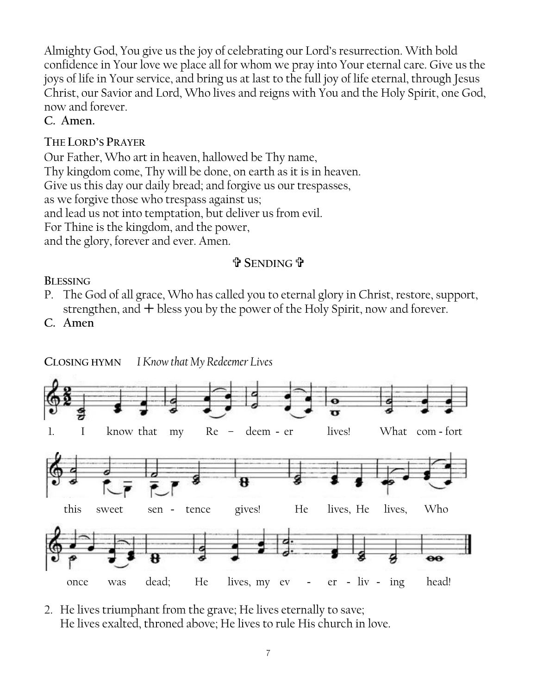Almighty God, You give us the joy of celebrating our Lord's resurrection. With bold confidence in Your love we place all for whom we pray into Your eternal care. Give us the joys of life in Your service, and bring us at last to the full joy of life eternal, through Jesus Christ, our Savior and Lord, Who lives and reigns with You and the Holy Spirit, one God, now and forever.

#### **C. Amen.**

### **THE LORD'S PRAYER**

Our Father, Who art in heaven, hallowed be Thy name, Thy kingdom come, Thy will be done, on earth as it is in heaven. Give us this day our daily bread; and forgive us our trespasses, as we forgive those who trespass against us; and lead us not into temptation, but deliver us from evil. For Thine is the kingdom, and the power, and the glory, forever and ever. Amen.

### **SENDING**

#### **BLESSING**

- P. The God of all grace, Who has called you to eternal glory in Christ, restore, support, strengthen, and  $+$  bless you by the power of the Holy Spirit, now and forever.
- C. Amen



2. He lives triumphant from the grave; He lives eternally to save; He lives exalted, throned above; He lives to rule His church in love.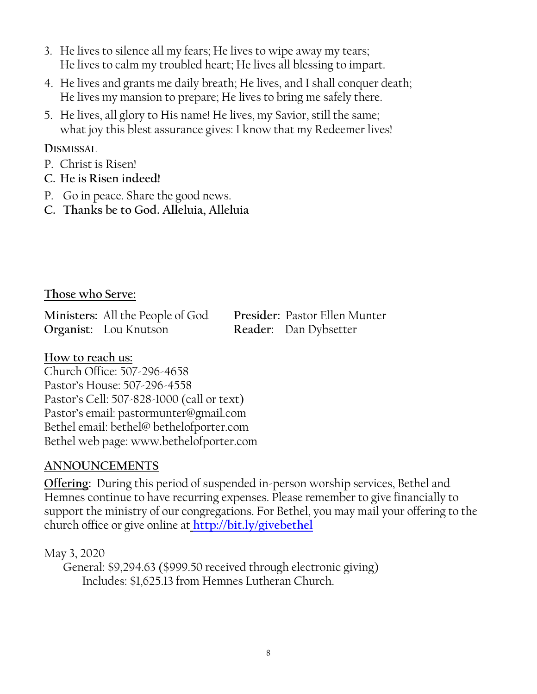- 3. He lives to silence all my fears; He lives to wipe away my tears; He lives to calm my troubled heart; He lives all blessing to impart.
- 4. He lives and grants me daily breath; He lives, and I shall conquer death; He lives my mansion to prepare; He lives to bring me safely there.
- 5. He lives, all glory to His name! He lives, my Savior, still the same; what joy this blest assurance gives: I know that my Redeemer lives!

#### **DISMISSAL**

- P. Christ is Risen!
- **C. He is Risen indeed!**
- P. Go in peace. Share the good news.
- **C. Thanks be to God. Alleluia, Alleluia**

#### **Those who Serve:**

**Ministers:** All the People of God **Presider:** Pastor Ellen Munter **Organist:** Lou Knutson **Reader:** Dan Dybsetter

#### **How to reach us:**

Church Office: 507-296-4658 Pastor's House: 507-296-4558 Pastor's Cell: 507-828-1000 (call or text) Pastor's email: pastormunter@gmail.com Bethel email: bethel@ bethelofporter.com Bethel web page: www.bethelofporter.com

#### **ANNOUNCEMENTS**

**Offering:** During this period of suspended in-person worship services, Bethel and Hemnes continue to have recurring expenses. Please remember to give financially to support the ministry of our congregations. For Bethel, you may mail your offering to the church office or give online at **<http://bit.ly/givebethel>**

May 3, 2020 General: \$9,294.63 (\$999.50 received through electronic giving) Includes: \$1,625.13 from Hemnes Lutheran Church.